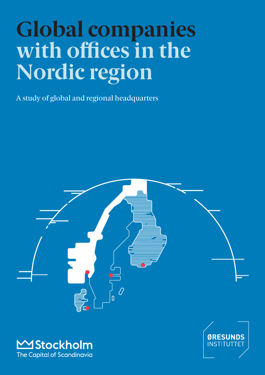# **Global companies with offices in the Nordic region**

A study of global and regional headquarters





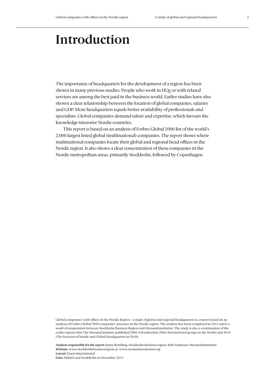## **Introduction**

The importance of headquarters for the development of a region has been shown in many previous studies. People who work in HQs or with related services are among the best paid in the business world. Earlier studies have also shown a clear relationship between the location of global companies, salaries and GDP. More headquarters equals better availability of professionals and specialists. Global companies demand talent and expertise, which favours the knowledge-intensive Nordic countries.

This report is based on an analysis of Forbes Global 2000 list of the world's 2,000 largest listed global (multinational) companies. The report shows where multinational companies locate their global and regional head offices in the Nordic region. It also shows a clear concentration of these companies in the Nordic metropolitan areas, primarily Stockholm, followed by Copenhagen.

Global companies' with offices in the Nordic Region – a study of global and regional headquarters is a report based on an analysis of Forbes Global 2000 companies' presence in the Nordic region. The analysis has been completed in 2015 and is a result of cooperation between Stockholm Business Region and Øresundsinstituttet. The study is also a continuation of the earlier reports that The Øresund Institute published 2006 (Glocalization 2006: International groups in the North) and 2010 (The location of Nordic and Global Headquarters in 2010).

**Analysts responsible for the report:** Jenny Berthling, Stockholm Business region, Britt Andresen, Øresundsinstituttet **Website:** www.stockholmbusinessregion.se, www.oresundsinstituttet.org **Layout:** Essen International **Date:** Malmö and Stockholm in December 2015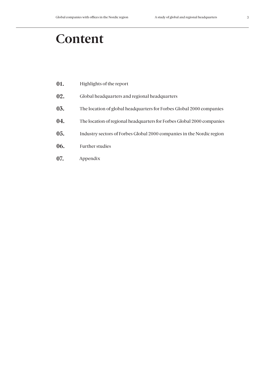## **Content**

- **01.** Highlights of the report
- **02.** Global headquarters and regional headquarters
- **03.** The location of global headquarters for Forbes Global 2000 companies
- **04.** The location of regional headquarters for Forbes Global 2000 companies
- **05.** Industry sectors of Forbes Global 2000 companies in the Nordic region
- **06.** Further studies
- **07.** Appendix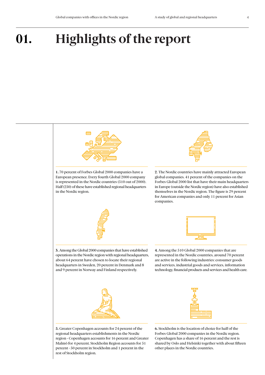rest of Stockholm region.

## **01. Highlights of the report**

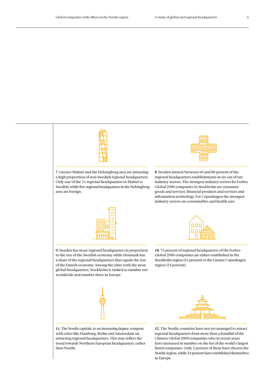

with cities like Hamburg, Berlin and Amsterdam on attracting regional headquarters. This may reflect the trend towards Northern European headquarters, rather than Nordic.

regional headquarters from more than a handful of the Chinese Global 2000 companies who in recent years have increased in number on the list of the world's largest listed companies. Only 2 percent of them have chosen the Nordic region, while 24 percent have established themselves in Europe.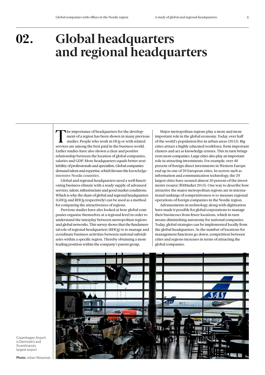**02.**

## **Global headquarters and regional headquarters**

The importance of headquarters for the development of a region has been shown in many previous studies. People who work in HQs or with related services are among the best paid in the business world. Earlier studies have also shown a clear and positive relationship between the location of global companies, salaries and GDP. More headquarters equals better availability of professionals and specialists. Global companies demand talent and expertise, which favours the knowledgeintensive Nordic countries.

Global and regional headquarters need a well-functioning business climate with a ready supply of advanced services, talent, infrastructure and good market conditions. Which is why the share of global and regional headquarters (GHQs and RHQs respectively) can be used as a method for comparing the attractiveness of regions.

Previous studies have also looked at how global companies organize themselves at a regional level in order to understand the interplay between metropolitan regions and global networks. This survey shows that the fundamental role of regional headquarters (RHQs) is to manage and coordinate business activities between national subsidiaries within a specific region. Thereby obtaining a more leading position within the company's parent group.

Major metropolitan regions play a more and more important role in the global economy. Today, over half of the world's population live in urban areas (2015). Big cities attract a highly educated workforce, form important clusters and act as knowledge centres. This in turn brings even more companies. Large cities also play an important role in attracting investments. For example, over 40 percent of foreign direct investments in Western Europe end up in one of 20 European cities. In sectors such as information and communication technology, the 20 largest cities have secured almost 50 percent of the investments (source: fDiMarket 2015). One way to describe how attractive the major metropolitan regions are in international rankings of competitiveness is to measure regional operations of foreign companies in the Nordic region.

Advancements in technology along with digitization have made it possible for global corporations to manage their businesses from fewer locations, which in turn means diminishing autonomy for national companies. Today, global strategies can be implemented locally from the global headquarters. As the number of locations for management functions go down, competition between cities and regions increases in terms of attracting the global companies.



Copenhagen Airport is Denmark's and Scandinavia's largest airport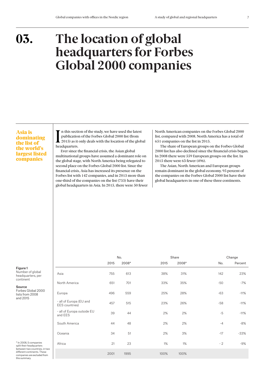**03.**

## **The location of global headquarters for Forbes Global 2000 companies**

#### Asia is dominating the list of the world's largest listed companies

 $\sum_{\text{publication}}$  in this section<br>2015) as it<br>headquarters. If n this section of the study, we have used the latest publication of the Forbes Global 2000 list (from 2015) as it only deals with the location of the global

Ever since the financial crisis, the Asian global multinational groups have assumed a dominant role on the global stage, with North America being relegated to second place on the Forbes Global 2000 list. Since the financial crisis, Asia has increased its presence on the Forbes list with 142 companies, and in 2015 more than one-third of the companies on the list (755) have their global headquarters in Asia. In 2015, there were 50 fewer North American companies on the Forbes Global 2000 list, compared with 2008. North America has a total of 651 companies on the list in 2015.

The share of European groups on the Forbes Global 2000 list has also declined since the financial crisis began. In 2008 there were 559 European groups on the list. In 2015 there were 63 fewer (496).

The Asian, North American and European groups remain dominant in the global economy. 95 percent of the companies on the Forbes Global 2000 list have their global headquarters in one of these three continents.

No. Percent

2015 2008\*

No. Share Change

Figure 1 Number of global

headquarters, per continent

Source Forbes Global 20 lists from 2008 and 2015

| oource<br>Forbes Global 2000<br>lists from 2008<br>and 2015                                                                                                    | Europa                                    | 496  | 559  | 25%  | 28%  | $-63$ | $-11%$ |
|----------------------------------------------------------------------------------------------------------------------------------------------------------------|-------------------------------------------|------|------|------|------|-------|--------|
|                                                                                                                                                                | - all of Europa (EU and<br>EES countries) | 457  | 515  | 23%  | 26%  | $-58$ | $-11%$ |
|                                                                                                                                                                | - all of Europa outside EU<br>and EES     | 39   | 44   | 2%   | 2%   | $-5$  | $-11%$ |
|                                                                                                                                                                | South America                             | 44   | 48   | 2%   | 2%   | $-4$  | $-8%$  |
|                                                                                                                                                                | Oceania                                   | 34   | 51   | 2%   | 3%   | $-17$ | $-33%$ |
| * In 2008, 5 companies<br>split their headquarters<br>between two countries, in two<br>different continents. These<br>companies are excluded from<br>$-1$ $-1$ | Africa                                    | 21   | 23   | 1%   | 1%   | $-2$  | $-9%$  |
|                                                                                                                                                                |                                           | 2001 | 1995 | 100% | 100% |       |        |

Asia 755 613 38% 31% 142 23%

North America 651 701 33% 35% -50 -7%

2015 2008\*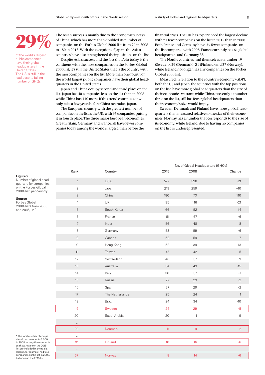## 29%

of the world's largest public companies have their global headquarters in the United States. The US is still in the lead despite falling number of GHQs

The Asian success is mainly due to the economic success of China, which has more than doubled its number of companies on the Forbes Global 2000 list, from 70 in 2008 to 180 in 2015. With the exception of Japan, the Asian countries have also strengthened their positions on the list.

Despite Asia's success and the fact that Asia today is the continent with the most companies on the Forbes Global 2000 list, it's still the United States that is the country with the most companies on the list. More than one fourth of the world largest public companies have their global headquarters in the United States.

Japan and China occupy second and third place on the list. Japan has 40 companies less on the list than in 2008 while China has 110 more. If this trend continues, it will only take a few years before China overtakes Japan.

The European country with the greatest number of companies on the list is the UK, with 95 companies, putting it in fourth place. The three major European economies, Great Britain, Germany and France, all have fewer companies today among the world's largest, than before the

financial crisis. The UK has experienced the largest decline with 21 fewer companies on the list in 2015 than in 2008. Both France and Germany have six fewer companies on the list compared with 2008. France currently has 61 global headquarters and Germany 53.

The Nordic countries find themselves at number 19 (Sweden), 29 (Denmark), 31 (Finland) and 37 (Norway), while Iceland no longer has any companies on the Forbes Global 2000 list.

Measured in relation to the country's economy (GDP), both the US and Japan, the countries with the top positions on the list, have more global headquarters than the size of their economies warrant, while China, presently at number three on the list, still has fewer global headquarters than their economy's size would imply.

Sweden, Denmark and Finland have more global headquarters than measured relative to the size of their economies. Norway has a number that corresponds to the size of its economy; while Iceland, due to having no companies on the list, is underrepresented.

#### Figure 2

Number of global headquarters for companies on the Forbes Global 2000-list, per country

#### Source

Forbes Global 2000-lists from 2008 and 2015, IMF

|                           |                 |             | No. of Global Headquarters (GHQs) |                |
|---------------------------|-----------------|-------------|-----------------------------------|----------------|
| Rank                      | Country         | 2015        | 2008                              | Change         |
| $\uparrow$                | <b>USA</b>      | 577         | 598                               | $-21$          |
| $\overline{2}$            | Japan           | 219         | 259                               | $-40$          |
| $\ensuremath{\mathsf{3}}$ | China           | 180         | 70                                | 110            |
| $\overline{4}$            | UK              | 95          | 116                               | $-21$          |
| 5                         | South Korea     | 66          | 52                                | 14             |
| 6                         | France          | 61          | 67                                | $-6$           |
| $\overline{7}$            | India           | 56          | 48                                | $\,8\,$        |
| 8                         | Germany         | 53          | 59                                | $-6$           |
| $\mathsf 9$               | Canada          | 52          | 59                                | $-7$           |
| $10$                      | Hong Kong       | 52          | 39                                | 13             |
| 11                        | Taiwan          | 47          | 42                                | $\mathbf 5$    |
| 12                        | Switzerland     | 46          | $37\,$                            | $\mathsf 9$    |
| 13                        | Australia       | 34          | 49                                | $-15$          |
| 14                        | Italy           | 30          | 37                                | $-7$           |
| 15                        | Russia          | $27\,$      | 29                                | $-2$           |
| 16                        | Spain           | 27          | 29                                | $-2$           |
| 17                        | The Netherlands | 25          | 24                                | $\overline{1}$ |
| 18                        | Brazil          | 24          | 34                                | $-10$          |
| 19                        | Sweden          | 24          | 29                                | $-5$           |
| 20                        | Saudi Arabia    | 20          | 11                                | $9\,$          |
| $\cdots$                  |                 |             |                                   |                |
| 29                        | Denmark         | 11          | $\overline{9}$                    | $\overline{2}$ |
| $\cdots$                  |                 |             |                                   |                |
| 31                        | Finland         | $10$        | 16                                | $-6$           |
| $\cdots$                  |                 |             |                                   |                |
| 37                        | Norway          | $\,$ 8 $\,$ | 14                                | $-6$           |

\* The total number of companies do not amount to 2 000 in 2008, as only those countries that are also on the 2015 list are included in the table. Iceland, for example, had four companies on the list in 2008, but none on the 2015 list.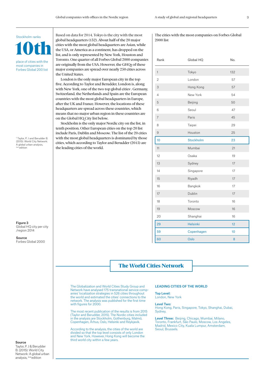### 10th Stockholm ranks

place of cities with the most companies in Forbes Global 200 list

<sup>1</sup>Taylor, P. J and Berudder B. (2015): World City Network: A global urban analysis,  $d$  edition

Figure 3 Global HQ city per city /region 2014

Source Forbes Global 2000 Based on data for 2014, Tokyo is the city with the most global headquarters (132). About half of the 20 major cities with the most global headquarters are Asian, while the USA, or America as a continent, has dropped on the list, and is only represented by New York, Houston and Toronto. One quarter of all Forbes Global 2000 companies are originally from the USA. However, the GHQs of these major companies are spread over nearly 250 cities across the United States.

London is the only major European city in the top five. According to Taylor and Berudder, London is, along with New York, one of the two top global cities<sup>1</sup>. Germany, Switzerland, the Netherlands and Spain are the European countries with the most global headquarters in Europe, after the UK and France. However, the locations of these headquarters are spread across these countries, which means that no major urban region in these countries are on the Global HQ City list below.

Stockholm is the only major Nordic city on the list, in tenth position. Other European cities on the top 20 list include Paris, Dublin and Moscow. The list of the 20 cities with the most global headquarters is dominated by those cities, which according to Taylor and Berudder (2015) are the leading cities of the world.

#### The cities with the most companies on Forbes Global 2000 list

| Rank           | Global HQ       | No. |
|----------------|-----------------|-----|
| $\mathbf{1}$   | Tokyo           | 132 |
| $\overline{2}$ | London          | 57  |
| 3              | Hong Kong       | 57  |
| $\overline{4}$ | New York        | 54  |
| 5              | Beijing         | 50  |
| 6              | Seoul           | 47  |
| $\overline{7}$ | Paris           | 45  |
| 8              | Taipei          | 29  |
| 9              | Houston         | 25  |
| 10             | Stockholm       | 23  |
| 11             | Mumbai          | 21  |
| 12             | Osaka           | 19  |
| 13             | Sydney          | 17  |
| 14             | Singapore       | 17  |
| 15             | Riyadh          | 17  |
| 16             | Bangkok         | 17  |
| 17             | Dublin          | 17  |
| 18             | Toronto         | 16  |
| 19             | Moscow          | 16  |
| 20             | Shanghai        | 16  |
| 29             | <b>Helsinki</b> | 12  |
| 59             | Copenhagen      | 10  |
| 60             | Oslo            | 8   |

The World Cities Network

The Globalization and World Cities Study Group and Network have analysed 175 transnational service companies' localization strategies in 526 cities throughout the world and estimated the cities' connections to the network. The analysis was published for the first time with figures for 2000.

The most recent publication of the results is from 2015 (Taylor and Berudder, 2015). The Nordic cities included in the analysis are Stockholm, Gothenburg, Malmö, Copenhagen, Århus, Oslo, Helsinki and Reykjavik.

According to the analysis, the cities of the world are divided so that the top level consists of only London and New York. However, Hong Kong will become the third world city within a few years.

#### LEADING CITIES OF THE WORLD

Top Level: London, New York

Level Two: Hong Kong, Paris, Singapore, Tokyo, Shanghai, Dubai, Sydney.

Level Three: Beijing, Chicago, Mumbai, Milano, Toronto, Frankfurt, São Paulo, Moscow, Los Angeles, Madrid, Mexico City, Kuala Lumpur, Amsterdam, Seoul, Brussels.

#### Source

Taylor, P. J & Berudder B. (2015): World City Network: A global urban analysis, <sup>2nd</sup> edition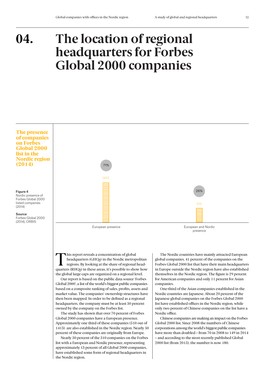### **The location of regional headquarters for Forbes Global 2000 companies 04.**



This report reveals a concentration of global<br>headquarters (GHQs) in the Nordic metrop<br>regions. By looking at the share of regional<br>quarters (PHOs) in these areas, it's possible to show headquarters (GHQs) in the Nordic metropolitan regions. By looking at the share of regional headquarters (RHQs) in these areas, it's possible to show how the global large caps are organized on a regional level.

Our report is based on the public data source 'Forbes Global 2000', a list of the world's biggest public companies based on a composite ranking of sales, profits, assets and market value. The companies' ownership structures have then been mapped. In order to be defined as a regional headquarters, the company must be at least 50 percent owned by the company on the Forbes list.

The study has shown that over 70 percent of Forbes Global 2000 companies have a European presence. Approximately one third of these companies (510 out of 1413) are also established in the Nordic region. Nearly 50 percent of these companies are originally from Europe.

Nearly 50 percent of the 510 companies on the Forbes list with a European and Nordic presence, representing approximately 13 percent of all Global 2000 companies, have established some form of regional headquarters in the Nordic region.

The Nordic countries have mainly attracted European global companies. 41 percent of the companies on the Forbes Global 2000 list that have their main headquarters in Europe outside the Nordic region have also established themselves in the Nordic region. The figure is 29 percent for American companies and only 11 percent for Asian companies.

One-third of the Asian companies established in the Nordic countries are Japanese. About 20 percent of the Japanese global companies on the Forbes Global 2000 list have established offices in the Nordic region, while only two percent of Chinese companies on the list have a Nordic office.

Chinese companies are making an impact on the Forbes Global 2000 list. Since 2008 the numbers of Chinese corporations among the world's biggest public companies have more than doubled – from 70 in 2008 to 149 in 2014 – and according to the most recently published Global 2000 list (from 2015), the number is now 180.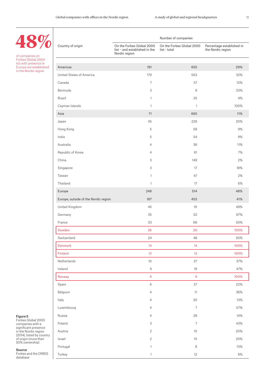Number of companies

of companies on Forbes Global 2000 list with presence in Europe are established in the Nordic region

48%

| Country of origin                    | On the Forbes Global 2000<br>list - and established in the<br>Nordic region | On the Forbes Global 2000<br>list - total | Percentage established in<br>the Nordic region |
|--------------------------------------|-----------------------------------------------------------------------------|-------------------------------------------|------------------------------------------------|
|                                      |                                                                             |                                           |                                                |
| Americas                             | 191                                                                         | 655                                       | 29%                                            |
| United States of America             | 179                                                                         | 563                                       | 32%                                            |
| Canada                               | 7                                                                           | 57                                        | 12%                                            |
| Bermuda                              | 3                                                                           | 9                                         | 33%                                            |
| <b>Brazil</b>                        | 1                                                                           | 25                                        | 4%                                             |
| Cayman Islands                       | 1                                                                           | $\mathbf{1}$                              | 100%                                           |
| Asia                                 | 71                                                                          | 665                                       | 11%                                            |
| Japan                                | 45                                                                          | 226                                       | 20%                                            |
| Hong Kong                            | 5                                                                           | 58                                        | 9%                                             |
| India                                | 5                                                                           | 54                                        | 9%                                             |
| Australia                            | 4                                                                           | 36                                        | 11%                                            |
| Republic of Korea                    | 4                                                                           | 61                                        | 7%                                             |
| China                                | 3                                                                           | 149                                       | 2%                                             |
| Singapore                            | 3                                                                           | 17                                        | 18%                                            |
| Taiwan                               | 1                                                                           | 47                                        | 2%                                             |
| Thailand                             | 1                                                                           | 17                                        | 6%                                             |
| Europe                               | 248                                                                         | 514                                       | 48%                                            |
| Europe, outside of the Nordic region | 187                                                                         | 453                                       | 41%                                            |
| United Kingdom                       | 45                                                                          | 91                                        | 49%                                            |
| Germany                              | 35                                                                          | 52                                        | 67%                                            |
| France                               | 33                                                                          | 66                                        | 50%                                            |
| Sweden                               | 26                                                                          | 26                                        | 100%                                           |
| Switzerland                          | 24                                                                          | 48                                        | 50%                                            |
| Denmark                              | 14                                                                          | 14                                        | 100%                                           |
| Finland                              | 12                                                                          | 12                                        | 100%                                           |
| Netherlands                          | $10$                                                                        | 27                                        | 37%                                            |
| Ireland                              | $\mathsf 9$                                                                 | 19                                        | 47%                                            |
| Norway                               | 9                                                                           | $\overline{9}$                            | 100%                                           |
| Spain                                | $\,$ 6 $\,$                                                                 | 27                                        | 22%                                            |
| Belgium                              | $\overline{4}$                                                              | 11                                        | 36%                                            |
| Italy                                | 4                                                                           | $30\,$                                    | 13%                                            |
| Luxembourg                           | 4                                                                           | $\boldsymbol{7}$                          | 57%                                            |
| Russia                               | 4                                                                           | 28                                        | 14%                                            |
| Poland                               | 3                                                                           | $\boldsymbol{7}$                          | 43%                                            |
| Austria                              | $\mathbf{2}$                                                                | $10$                                      | 20%                                            |
| Israel                               | $\overline{2}$                                                              | $10$                                      | 20%                                            |
| Portugal                             | $\mathbf{1}$                                                                | $\,8\,$                                   | 13%                                            |
| Turkey                               | $\mathbf{1}$                                                                | 12                                        | $8\%$                                          |

#### Figure 5

Forbes Global 2000 companies with a significant presence in the Nordic region (2014), listed by country of origin (more than 50% ownership)

#### Source Forbes and the ORBIS

database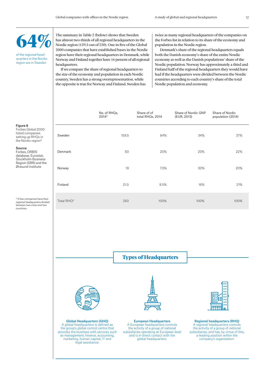

of the regional headquarters in the Nordic region are in Sweden

regional headquarters between two cities and countries.

The summary in Table 2 (below) shows that Sweden has almost two-thirds of all regional headquarters in the Nordic region (159.5 out of 250). One in five of the Global 2000 companies that have established bases in the Nordic region have their regional headquarters in Denmark, while Norway and Finland together have 16 percent of all regional headquarters.

If we compare the share of regional headquarters to the size of the economy and population in each Nordic country, Sweden has a strong overrepresentation, while the opposite is true for Norway and Finland. Sweden has twice as many regional headquarters of the companies on the Forbes list in relation to its share of the economy and population in the Nordic region.

Denmark's share of the regional headquarters equals both the Danish economy's share of the entire Nordic economy as well as the Danish populations' share of the Nordic population. Norway has approximately a third and Finland half of the regional headquarters they would have had if the headquarters were divided between the Nordic countries according to each country's share of the total Nordic population and economy.

|                                                                                                          |            | No. of RHQs,<br>$2014*$ | Share of of<br>total RHQs, 2014 | Share of Nordic GNP<br>(EUR, 2013) | Share of Nordic<br>population (2014) |
|----------------------------------------------------------------------------------------------------------|------------|-------------------------|---------------------------------|------------------------------------|--------------------------------------|
| Figure 6<br>Forbes Global 2000<br>listed companies<br>setting up RHQs in<br>the Nordic region*           | Sweden     | 159.5                   | 64%                             | 34%                                | 37%                                  |
| Source<br>Forbes, ORBIS<br>database, Eurostat,<br>Stockholm Business                                     | Denmark    | 50                      | 20%                             | 20%                                | 22%                                  |
| Region (SBR) and the<br>Øresund Institute                                                                | Norway     | 19                      | 7.5%                            | 30%                                | 20%                                  |
|                                                                                                          | Finland    | 21.5                    | 8.5%                            | 16%                                | 21%                                  |
| * A few companies have their<br>regional headquarters divided<br>between two cities and two<br>countries | Total RHQ* | 250                     | 100%                            | 100%                               | 100%                                 |

Types of Headquarters



Global Headquarters (GHQ) A global headquarters is defined as the group's global control centre that provides the business with services such as management, finance, accounting, marketing, human capital, IT and legal assistance.



European Headquarters A European headquarters controls the activity of a group of national subsidiaries operating at European level and is in direct contact with the global headquarters.



Regional headquarters (RHQ) A regional headquarters controls the activity of a group of national subsidiaries, and has, by virtue of this, a leading position within the company's organization.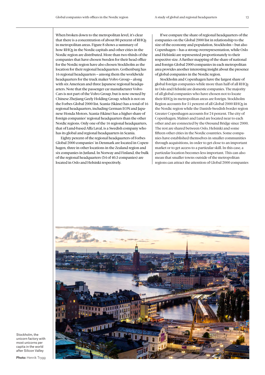When broken down to the metropolitan level, it's clear that there is a concentration of about 80 percent of RHQs in metropolitan areas. Figure 8 shows a summary of how RHQs in the Nordic capitals and other cities in the Nordic region are distributed. More than two-thirds of the companies that have chosen Sweden for their head office for the Nordic region have also chosen Stockholm as the location for their regional headquarters. Gothenburg has 16 regional headquarters – among them the worldwide headquarters for the truck maker Volvo Group – along with six American and three Japanese regional headquarters. Note that the passenger car manufacturer Volvo Cars is not part of the Volvo Group, but is now owned by Chinese Zhejiang Geely Holding Group, which is not on the Forbes Global 2000 list. Scania (Skåne) has a total of 16 regional headquarters, including German EON and Japanese Honda Motors. Scania (Skåne) has a higher share of foreign companies' regional headquarters than the other Nordic regions. Only one of the 16 regional headquarters, that of Lund-based Alfa Laval, is a Swedish company who has its global and regional headquarters in Scania.

Eighty percent of the regional headquarters of Forbes Global 2000 companies' in Denmark are located in Copenhagen, three in other locations in the Zealand region and six companies in Jutland. In Norway and Finland, the bulk of the regional headquarters (34 of 40.5 companies) are located in Oslo and Helsinki respectively.

If we compare the share of regional headquarters of the companies on the Global 2000 list in relationship to the size of the economy and population, Stockholm – but also Copenhagen – has a strong overrepresentation, while Oslo and Helsinki are represented proportionately to their respective size. A further mapping of the share of national and foreign Global 2000 companies in each metropolitan area provides another interesting insight about the presence of global companies in the Nordic region.

Stockholm and Copenhagen have the largest share of global foreign companies while more than half of all RHQs in Oslo and Helsinki are domestic companies. The majority of all global companies who have chosen not to locate their RHQs in metropolitan areas are foreign. Stockholm Region accounts for 51 percent of all Global 2000 RHQs in the Nordic region while the Danish-Swedish border region Greater Copenhagen accounts for 24 percent. The city of Copenhagen, Malmö and Lund are located near to each other and are connected by the Øresund Bridge since 2000. The rest are shared between Oslo, Helsinki and some fifteen other cities in the Nordic countries. Some companies have established themselves in smaller communities through acquisitions, in order to get close to an important market or to get access to a particular skill. In this case, a particular location becomes less important. This can also mean that smaller towns outside of the metropolitan regions can attract the attention of Global 2000 companies



Stockholm, the unicorn factory with most unicorns per capita in the world after Silicon Valley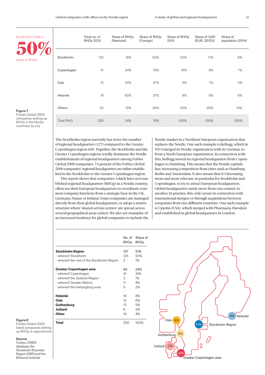| Stockholm holds a                                                                                               |                  | Total no. of<br><b>RHQs 2015</b> | Share of RHQs<br>(National) | Share of RHQs<br>(Foreign)                                                                                                                                     | Share of RHQs<br>2015 | Share of GDP<br>(EUR, 2013)1) | Share of<br>population (2014) |
|-----------------------------------------------------------------------------------------------------------------|------------------|----------------------------------|-----------------------------|----------------------------------------------------------------------------------------------------------------------------------------------------------------|-----------------------|-------------------------------|-------------------------------|
| share of RHQs                                                                                                   | Stockholm        | 125                              | 18%                         | 82%<br>50%<br>11%<br>8%<br>8%<br>76%<br>16%<br>7%<br>47%<br>7%<br>6%<br>5%<br>6%<br>37%<br>8%<br>6%<br>20%<br>84%<br>68%<br>74%<br>76%<br>100%<br>100%<br>100% |                       |                               |                               |
|                                                                                                                 | Copenhagen       | 41                               | 24%                         |                                                                                                                                                                |                       |                               |                               |
|                                                                                                                 | Oslo             | 15                               | 53%                         |                                                                                                                                                                |                       |                               |                               |
|                                                                                                                 | Helsinki         | 19                               | 63%                         |                                                                                                                                                                |                       |                               |                               |
| Figure 7                                                                                                        | Others           | 50                               | 16%                         |                                                                                                                                                                |                       |                               |                               |
| Forbes Global 2000<br>companies setting up<br>RHQs in the Nordic<br>the company's company's company's company's | <b>Total RHQ</b> | 250                              | 24%                         |                                                                                                                                                                |                       |                               |                               |

#### Figure 7

RHQs in the Nordic countries, by city

> The Stockholm region currently has twice the number of regional headquarters (127) compared to the Greater Copenhagen region (60). Together, the Stockholm and the Greater Copenhagen regions totally dominate the Nordic establishments of regional headquarters among Forbes Global 2000 companies. 75 percent of the Forbes Global 2000 companies' regional headquarters are either established in the Stockholm or the Greater Copenhagen region.

> This report shows that companies, which have not established regional headquarters (RHQs) in a Nordic country, often use their European headquarters to coordinate common company functions from a strategic base in the UK, Germany, France or Ireland. Some companies are managed directly from their global headquarters, or adopt a matrix structure where 'shared service centres' are spread across several geographical areas (cities). We also see examples of an increased tendency for global companies to include the

Nordic market in a Northern European organization that replaces the Nordic. One such example is Kellogg, which in 2014 merged its Nordic organization with its German, to form a North European organization. In connection with this, Kellogg moved its regional headquarters from Copenhagen to Hamburg. This means that the Nordic capitals face increasing competition from cities such as Hamburg, Berlin and Amsterdam. It also means that it's becoming more and more relevant, in particular for Stockholm and Copenhagen, to try to attract European headquarters. Global headquarters rarely move from one country to another. In practice, this only occurs in connection with transnational mergers or through acquisitions between companies from two different countries. One such example is Upjohn (USA), which merged with Pharmacia (Sweden) and established its global headquarters in London.

|                                            | No. of<br><b>RHOs</b> | Share of<br>RHOs |
|--------------------------------------------|-----------------------|------------------|
| <b>Stockholm Region</b>                    | 127                   | 51%              |
| - whereof Stockholm                        | 125                   | 50%              |
| - whereof the rest of the Stockholm Region | 2                     | 1%               |
| Greater Copenhagen area                    | 60                    | 24%              |
| - whereof Copenhagen                       | 41                    | 16%              |
| - whereof the Zealand Region               | 3                     | 1%               |
| - whereof Greater Malmö                    | 11                    | 4%               |
| - whereof the Helsingborg area             | 5                     | 2%               |
| Helsinki                                   | 19                    | 8%               |
| Oslo                                       | 15                    | 6%               |
| Gothenburg                                 | 13                    | 5%               |
| Jutland                                    | 6                     | 2%               |
| Other                                      | 10                    | 4%               |
| <b>Total</b>                               | 250                   | 100%             |



#### Figure 8

Forbes Global 2000 listed companies setting up RHQs in regional area

#### Source

Forbes, ORBIS database, the Stockholm Business Region (SBR) and the Øresund Institute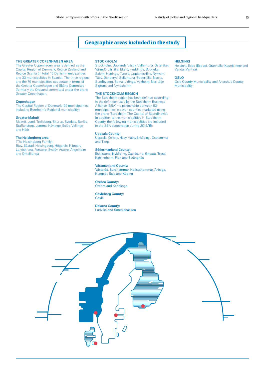#### Geographic areas included in the study

#### THE GREATER COPENHAGEN AREA

The Greater Copenhagen area is defined as the Capital Region of Denmark, Region Zealand and Region Scania (in total 46 Danish municipalities and 33 municipalities in Scania). The three regions and the 79 municipalities cooperate in terms of the Greater Copenhagen and Skåne Commitee (formerly the Öresund commitee) under the brand Greater Copenhagen.

#### **Copenhagen**

The Capital Region of Denmark (29 municipalities including Bornholm's Regional municipality)

#### Greater Malmö

Malmö, Lund, Trelleborg, Skurup, Svedala, Burlöv, Staffanstorp, Lomma, Kävlinge, Eslöv, Vellinge and Höör

#### The Helsingborg area

(The Helsingborg Family) Bjuv, Båstad, Helsingborg, Höganäs, Klippan, Landskrona, Perstorp, Svalöv, Åstorp, Ängelholm and Örkelljunga

#### **STOCKHOLM**

Stockholm, Upplands Väsby, Vallentuna, Österåker, Värmdö, Järfälla, Ekerö, Huddinge, Botkyrka, Salem, Haninge, Tyresö, Upplands-Bro, Nykvarn, Täby, Danderyd, Sollentuna, Södertälje, Nacka, Sundbyberg, Solna, Lidingö, Vaxholm, Norrtälje, Sigtuna and Nynäshamn

#### THE STOCKHOLM REGION

The Stockholm region has been defined according to the definition used by the Stockholm Business Alliance (SBA) – a partnership between 53 municipalities in seven counties marketed using the brand 'Stockholm The Capital of Scandinavia'. In addition to the municipalities in Stockholm County, the following municipalities are included in the SBA cooperation during 2014/15:

#### Uppsala County:

Uppsala, Knivsta, Heby, Håbo, Enköping , Östhammar and Tierp

#### Södermanland County:

Eskilstuna, Nyköping, Oxelösund, Gnesta, Trosa, Katrineholm, Flen and Strängnäs

#### Västmanland County:

Västerås, Surahammar, Hallstahammar, Arboga, Kungsör, Sala and Köping

#### Örebro County: Örebro and Karlskoga

Gävleborg County:

Gävle

#### Dalarna County: Ludvika and Smedjebacken

**HELSINKI** 

Helsinki, Esbo (Espoo), Grankulla (Kauniainen) and Vanda (Vantaa)

#### **OSLO**

Oslo County Municipality and Akershus County Municipality

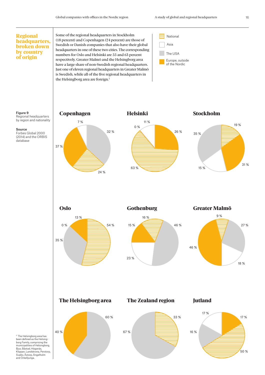and Örkelljunga.

#### <sup>2</sup> The Helsingborg area has been defined as the Helsing-borg Family, comprising the municipalities of Helsingborg, Bjuv, Båstad, Höganäs, Klippan, Landskrona, Perstorp, Svalöv, Åstorp, Ängelholm Greater Malmö 27 % 18 % 9 % 46 % **Oslo** 54 % 35 % 13 % 0 % Gothenburg 46 % 23 % 16 % 15 % Jutland 17 % 17 % 50 % 16 % The Helsingborg area 60 % 40 % The Zealand region 33 % 67 % The USA Asia Europe, outside of the Nordic **Regional** Some of the regional headquarters in Stockholm  $\Box$  National headquarters, broken down by country of origin Stockholm 19 % 15 % 35 % 31 % Copenhagen 32 % 37 % 7 % 24 % 26 % 11 % 0 % 63 % Helsinki Source Forbes Global 2000 (2014) and the ORBIS database Figure 9 Regional headquarters by region and nationality (18 percent) and Copenhagen (24 percent) are those of Swedish or Danish companies that also have their global headquarters in one of these two cities. The corresponding numbers for Oslo and Helsinki are 55 and 63 percent respectively. Greater Malmö and the Helsingborg area have a large share of non-Swedish regional headquarters. Just one of eleven regional headquarters in Greater Malmö is Swedish, while all of the five regional headquarters in the Helsingborg area are foreign.<sup>2</sup>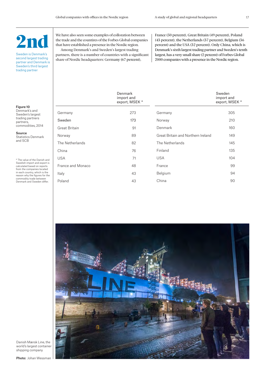## $\mathbf{P}_{\mathbf{T}}$

Sweden is Denmark's second largest trading partner and Denmark is Sweden's third largest trading partner

We have also seen some examples of colloration between the trade and the countires of the Forbes Global companies that have established a presence in the Nordic region. Among Denmark's and Sweden's largest trading partners, there is a number of countries with a significant share of Nordic headquarters: Germany (67 percent),

France (50 percent), Great Britain (49 percent), Poland (43 percent), the Netherlands (37 percent), Belgium (36 percent) and the USA (32 percent). Only China, which is Denmark's sixth largest trading partner and Sweden's tenth largest, has a very small share (2 percent) of Forbes Global 2000 companies with a presence in the Nordic region.

|                                                                                           |                   | Denmark<br>import and<br>export, MSEK * |                                    | Sweden<br>import and<br>export, MSEK * |
|-------------------------------------------------------------------------------------------|-------------------|-----------------------------------------|------------------------------------|----------------------------------------|
| Figure 10<br>Denmark's and<br>Sweden's largest                                            | Germany           | 273                                     | Germany                            | 305                                    |
| trading partners<br>partners,                                                             | Sweden            | 173                                     | Norway                             | 210                                    |
| commodities, 2014                                                                         | Great Britain     | 91                                      | Denmark                            | 160                                    |
| Source<br><b>Statistics Denmark</b>                                                       | Norway            | 89                                      | Great Britain and Northern Ireland | 149                                    |
| and SCB                                                                                   | The Netherlands   | 82                                      | The Netherlands                    | 145                                    |
|                                                                                           | China             | 76                                      | Finland                            | 135                                    |
| * The value of the Danish and                                                             | <b>USA</b>        | 71                                      | <b>USA</b>                         | 104                                    |
| Swedish import and export is<br>calculated based on reports<br>from the companies located | France and Monaco | 48                                      | France                             | 99                                     |
| in each country, which is the<br>reason why the figures for the                           | Italy             | 43                                      | Belgium                            | 94                                     |
| commodity trade between<br>Denmark and Sweden differ.                                     | Poland            | 43                                      | China                              | 90                                     |



Danish Mærsk Line, the world's largest container shipping company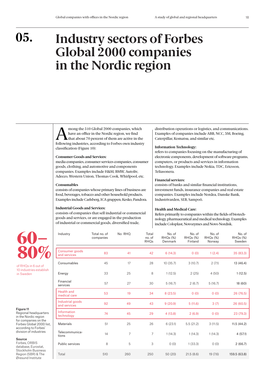## **Industry sectors of Forbes Global 2000 companies in the Nordic region**

Among the 510 Global 2000 companies, which<br>have an office in the Nordic region, we find<br>that about 70 percent of them are active in the<br>following industries, according to Forbes own industry have an office in the Nordic region, we find following industries, according to Forbes own industry classification (Figure 10):

#### **Consumer Goods and Services:**

media companies, consumer services companies, consumer goods, clothing, and automotive and components companies. Examples include H&M, BMW, Autoliv, Adecco, Western Union, Thomas Cook, Whirlpool, etc.

#### **Consumables**

consists of companies whose primary lines of business are food, beverages, tobacco and other household products. Examples include Carlsberg, ICA gruppen, Kesko, Pandora.

#### **Industrial Goods and Services:**

Industry Total no. of

consists of companies that sell industrial or commercial goods and services, or are engaged in the production of industrial or commercial goods, diversified trade,

distribution operations or logistics, and communications. Examples of companies include ABB, NCC, 3M, Boeing, Caterpillar, Komatsu, and similar etc.

#### **Information Technology:**

refers to companies focusing on the manufacturing of electronic components, development of software programs, computers, or products and services in information technology. Examples include Nokia, TDC, Ericsson, Teliasonera.

#### **Financial services:**

consists of banks and similar financial institutions, investment funds, insurance companies and real estate companies. Examples include Nordea, Danske Bank, Industrivarden, SEB, Sampoö.

#### **Health and Medical Care:**

No. of

Refers primarily to companies within the fields of biotechnology, pharmaceutical and medical technology. Examples include Coloplast, Novozymes and Novo Nordisk.

No. of

No. of

No. of



of RHQs in 6 out of 10 industries establish in Sweden

Figure 11

Regional headquarters in the Nordic region for companies on the Forbes Global 2000 list, according to Forbes' division of industries

#### Source

Forbes, ORBIS database, Eurostat, Stockholm Business Region (SBR) & The Øresund Institute

| maustry                           | Total no. of<br>companies | <b>INO RHU</b> | τοται<br>no. of<br><b>RHQs</b> | <b>INO. OT</b><br>RHQs (%)<br>Denmark | INO. OT<br>RHQs (%)<br>Finland | <b>INO. OT</b><br>RHQs (%)<br>Norway | <b>INO. OT</b><br>RHQs (%)<br>Sweden |
|-----------------------------------|---------------------------|----------------|--------------------------------|---------------------------------------|--------------------------------|--------------------------------------|--------------------------------------|
| Consumer goods<br>and services    | 83                        | 41             | 42                             | 6(14.3)                               | 0(0)                           | 1(2.4)                               | 35 (83.3)                            |
| Consumables                       | 45                        | 17             | 28                             | 10(35.7)                              | 3(10.7)                        | 2(7.1)                               | 13 (46.4)                            |
| Energy                            | 33                        | 25             | 8                              | 1(12.5)                               | 2(25)                          | 4(50)                                | 1(12.5)                              |
| Financial<br>services             | 57                        | 27             | 30                             | 5(16.7)                               | 2(6.7)                         | 5(16.7)                              | 18 (60)                              |
| <b>Health and</b><br>medical care | 53                        | 19             | 34                             | 8(23.5)                               | 0(0)                           | 0(0)                                 | 26 (76.5)                            |
| Industrial goods<br>and services  | 92                        | 49             | 43                             | 9(20.9)                               | 5(11.6)                        | 3(7)                                 | 26 (60.5)                            |
| Information<br>technology         | 74                        | 45             | 29                             | 4(13.8)                               | 2(6.9)                         | 0(0)                                 | 23 (79.3)                            |
| <b>Materials</b>                  | 51                        | 25             | 26                             | 6(23.1)                               | 5.5(21.2)                      | 3(11.5)                              | 11.5(44.2)                           |
| Telecommunica-<br>tions           | 14                        | 7              | 7                              | 1(14.3)                               | 1(14.3)                        | 1(14.3)                              | 4(57.1)                              |
| Public services                   | 8                         | 5              | 3                              | O(0)                                  | 1(33.3)                        | O(0)                                 | 2(66.7)                              |
| Total                             | 510                       | 260            | 250                            | 50(20)                                | 21.5(8.6)                      | 19 (7.6)                             | 159.5 (63.8)                         |
|                                   |                           |                |                                |                                       |                                |                                      |                                      |

 $N_{\rm H}$   $R_{\rm H}$   $R_{\rm H}$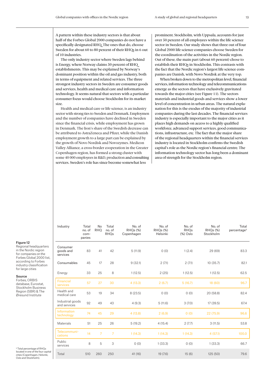A pattern within these industry sectors is that about half of the Forbes Global 2000 companies do not have a specifically designated RHQ. The ones that do, choose Sweden for about 60 to 80 percent of their RHQs in 6 out of 10 industries.

The only industry sector where Sweden lags behind is Energy, where Norway claims 50 percent of RHQ establishments. This may be explained by Norway's dominant position within the oil and gas industry, both in terms of equipment and related services. The three strongest industry sectors in Sweden are consumer goods and services, health and medical care and information technology. It seems natural that sectors with a particular consumer focus would choose Stockholm for its market size.

Health and medical care or life science, is an industry sector with strong ties to Sweden and Denmark. Employmen and the number of companies have declined in Sweden since the financial crisis, while employment has grown in Denmark. The lion's share of the Swedish decrease can be attributed to AstraZeneca and Pfizer, while the Danish employment growth to a large part can be explained by the growth of Novo Nordisk and Novozymes. Medicon Valley Alliance, a cross-border cooperation in the Greater Copenhagen region, has formed a strong cluster with some 40 000 employees in R&D, production and consulting services. Sweden's role has since become somewhat less

No

Total

No. of

prominent. Stockholm, with Uppsala, accounts for just over 50 percent of all employees within the life science sector in Sweden. Our study shows that three out of four Global 2000 life science companies choose Sweden for the coordination of the activities in the Nordic region. Out of these, the main part (about 60 percent) chose to establish their RHQs in Stockholm. This contrasts with the fact that the Nordic region's largest life science companies are Danish, with Novo Nordisk at the very top.

When broken down to the metropolitan level, financial services, information technology and telecommunications emerge as the sectors that have exclusively gravitated towards the major cities (see Figure 11). The sectors materials and industrial goods and services show a lower level of concentration in urban areas. The natural explanation for this is the exodus of the majority of industrial companies during the last decades. The financial services industry is especially important to the major cities as it places high demands on access to a highly qualified workforce, advanced support services, good communications, infrastructure, etc. The fact that the major share of the regional headquarters within the financial services industry is located in Stockholm confirms the Swedish capital's role as the Nordic region's financial centre. The information technology sector has long been a dominant area of strength for the Stockholm region.

#### Figure 12

Regional headquarters in the Nordic region for companies on the Forbes Global 2000 list, according to Forbes industry classification for large cities

Industry Total

#### Source

Forbes, ORBIS database, Eurostat, Stockholm Business Region (SBR) & The Øresund Institute

no. of companies RHQ no. of RHQs RHQs (%) Copenhagen RHQs (%) Helsinki RHQs (%) Oslo RHQs (%) Stockholm percentage<sup>3</sup> Consumer goods and services 83 41 42 5 (11.9) 0 (0) 1 (2.4) 29 (69) 83.3 Consumables 45 17 28 9 (32.1) 2 (7.1) 2 (7.1) 10 (35.7) 82.1 Energy 33 25 8 1 (12.5) 2 (25) 1 (12.5) 1 (12.5) 62.5 Financial services <sup>57</sup> <sup>27</sup> <sup>30</sup> 4 (13.3) 2 (6.7) 5 (16.7) 18 (60) 96.7 Health and medical care 53 19 34 8 (23.5) 0 (0) 0 (0) 20 (58.8) 82.4<br>medical care Industrial goods and services <sup>92</sup> <sup>49</sup> <sup>43</sup> 4 (9.3) 5 (11.6) 3 (7.0) 17 (39.5) 67.4 **Information** technology <sup>74</sup> <sup>45</sup> <sup>29</sup> 4 (13.8) 2 (6.9) 0 (0) 22 (75.9) 96.6 Materials 51 25 26 5 (19.2) 4 (15.4) 2 (7.7) 3 (11.5) 53.8 Telecommunications 14 7 7 1 (14.3) 1 (14.3) 1 (14.3) 4 (57.1) 100.0 Public services 8 5 3 0 (0) 1 (33.3) 0 (0) 1 (33.3) 66.7<br>services Total 510 260 250 41 (16) 19 (7.6) 15 (6) 125 (50) 79.6

No. of

No. of

No. of

Total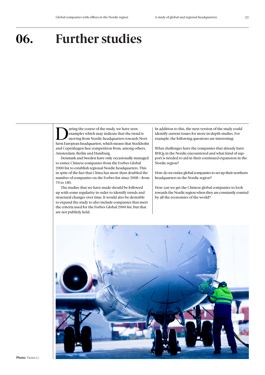## **06. Further studies**

uring the course of the study, we have seen examples which may indicate that the trend is moving from Nordic headquarters towards Northern European headquarters, which means that Stockholm and Copenhagen face competition from, among others, Amsterdam, Berlin and Hamburg.

Denmark and Sweden have only occasionally managed to entice Chinese companies from the Forbes Global 2000 list to establish regional Nordic headquarters. This in spite of the fact that China has more than doubled the number of companies on the Forbes list since 2008 – from 70 to 180.

The studies that we have made should be followed up with some regularity in order to identify trends and structural changes over time. It would also be desirable to expand the study to also include companies that meet the criteria used for the Forbes Global 2000 list, but that are not publicly held.

In addition to this, the next version of the study could identify current issues for more in-depth studies. For example, the following questions are interesting:

What challenges have the companies that already have RHQs in the Nordic encountered and what kind of support is needed to aid in their continued expansion in the Nordic region?

How do we entice global companies to set up their northern headquarters in the Nordic region?

How can we get the Chinese global companies to look towards the Nordic region when they are constantly courted by all the economies of the world?

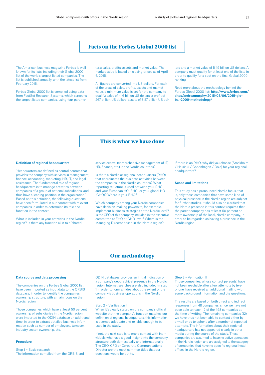#### Facts on the Forbes Global 2000 list

The American business magazine Forbes is well known for its lists, including their Global 2000 list of the world's largest listed companies. The list is published annually, with the latest list from February 2015.

Forbes Global 2000 list is compiled using data from FactSet Research Systems, which screeens the largest listed companies, using four parameters: sales, profits, assets and market value. The market value is based on closing prices as of April 6, 2015.

All figures are converted into US dollars. For each of the areas of sales, profits, assets and market value, a minimum value is set for the company to qualify: sales of 4.16 billion US dollars, a profit of 267 billion US dollars, assets of 8.57 billion US dollars and a market value of 5.49 billion US dollars. A company must qualify for at least one of the lists in order to qualify for a spot on the final Global 2000 ranking.

Read more about the methodology behind the Forbes Global 2000 list: http://www.forbes.com/ sites/andreamurphy/2015/05/06/2015-global-2000-methodology/

#### This is what we have done

#### Definition of regional headquarters

'Headquarters are defined as control centres that provides the company with services in management, finance, accounting, marketing, HR, IT, and legal assistance. The fundamental role of regional headquarters is to manage activities between companies of a group of national subsidiaries, and thus have a leading position in the organization.' Based on this definition, the following questions have been formulated in our contact with relevant companies in order to determine its role and function in the context.

What is included in your activities in the Nordic region? Is there any function akin to a 'shared

service centre' (comprehensive management of IT) HR, finance, etc.) in the Nordic countries?

Is there a Nordic or regional headquarters (RHQ) that coordinates the business activities between the companies in the Nordic countries? What reporting structure is used between your RHQ and your European HQ (EHQ) or your global HQ (GHQ)? Where is your EHQ?

Which company among your Nordic companies have decision-making powers to, for example, implement business strategies at the Nordic level? Is the CEO of this company included in the executive committee at EHQ or GHQ level? Where is the Managing Director based in the Nordic region?

If there is an RHQ, why did you choose (Stockholm / Helsinki / Copenhagen / Oslo) for your regional headquarters?

#### Scope and limitations

This study has a pronounced Nordic focus, that is, only those companies that have some kind of physical presence in the Nordic region are subject for further studies. It should also be clarified that the Nordic presence in this context requires that the parent company has at least 50 percent or more ownership of the local, Nordic company, in order to be regarded as having a presence in the Nordic region

#### Our methodology

#### Data source and data processing

The companies on the Forbes Global 2000 list have been imported as input data to the ORBIS database, in order to identify the companies' ownership structure, with a main focus on the Nordic region.

Those companies which have at least 50 percent ownership of subsidiaries in the Nordic region, were imported to the ODIN database an additional time, in order to extract detailed business information such as number of employees, turnover, industry sector, ownership, etc.

#### Procedure

#### Step 1 – Basic research

The information compiled from the ORBIS and

ODIN databases provides an initial indication of a company's geographical presence in the Nordic region. Internet searches are also included in step 1 in order to form an idea about the extent of the company's business operations in the Nordic region.

#### Step 2 – Verification I

When it's clearly stated on the company's official website that the company's function matches our definition of regional headquarters, this information is deemed adequate and reliable enough to be used in the study.

If not, the next step is to make contact with individuals who have a good insight into the company structure both domestically and internationally. The CEO, CFO or Corporate Communications Director are the most common titles that our questions would be put to.

Step 3 – Verification II

Those companies, whose contact person(s) have not been reachable after a few attempts by telephone, have received an additional mailing with some background information and the questions.

The results are based on both direct and indirect responses from 48 companies, since we have not been able to reach 12 of the 498 companies at the time of writing. The remaining companies (12) we have thus not been able to contact either by e-mail or by telephone after a number of repeated attempts. The information about their regional headquarters has not appeared clearly in other media during the course of the study. These companies are assumed to have no active operations in the Nordic region and are assigned to the category of companies that have no specific regional head offices in the Nordic region.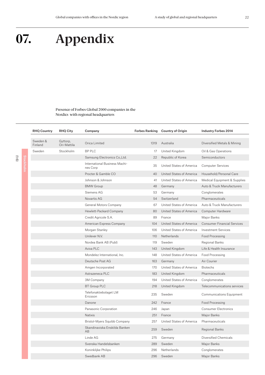## **07. Appendix**

#### Presence of Forbes Global 2000 companies in the Nordics with regional headquarters

| <b>RHQ Country</b>  | <b>RHQ City</b>         | Company                                   |                 | Forbes Ranking Country of Origin | <b>Industry Forbes 2014</b>        |
|---------------------|-------------------------|-------------------------------------------|-----------------|----------------------------------|------------------------------------|
| Sweden &<br>Finland | Gyttorp,<br>Ori-Mattila | Orica Limited                             | 1319            | Australia                        | Diversified Metals & Mining        |
| Sweden              | <b>Stockholm</b>        | <b>BP PLC</b>                             | 17 <sup>7</sup> | United Kingdom                   | Oil & Gas Operations               |
|                     |                         | Samsung Electronics Co., Ltd.             | 22              | Republic of Korea                | Semiconductors                     |
|                     |                         | International Business Machi-<br>nes Corp | 35              | United States of America         | <b>Computer Services</b>           |
|                     |                         | Procter & Gamble CO                       | 40              | United States of America         | Household/Personal Care            |
|                     |                         | Johnson & Johnson                         | 41              | United States of America         | Medical Equipment & Supplies       |
|                     |                         | <b>BMW Group</b>                          | 48              | Germany                          | Auto & Truck Manufacturers         |
|                     |                         | Siemens AG                                | 53              | Germany                          | Conglomerates                      |
|                     |                         | Novartis AG                               | 54              | Switzerland                      | Pharmaceuticals                    |
|                     |                         | General Motors Company                    | 67              | United States of America         | Auto & Truck Manufacturers         |
|                     |                         | Hewlett-Packard Company                   | 80              | United States of America         | Computer Hardware                  |
|                     |                         | Credit Agricole S.A.                      | 89              | France                           | Major Banks                        |
|                     |                         | American Express Company                  | 104             | United States of America         | <b>Consumer Financial Services</b> |
|                     |                         | Morgan Stanley                            | 106             | United States of America         | <b>Investment Services</b>         |
|                     |                         | Unilever N.V.                             | 110             | Netherlands                      | Food Processing                    |
|                     |                         | Nordea Bank AB (Publ)                     | 119             | Sweden                           | Regional Banks                     |
|                     |                         | Aviva PLC                                 | 143             | United Kingdom                   | Life & Health Insurance            |
|                     |                         | Mondelez International, Inc.              | 148             | United States of America         | Food Processing                    |
|                     |                         | Deutsche Post AG                          | 163             | Germany                          | Air Courier                        |
|                     |                         | Amgen Incorporated                        | 170             | United States of America         | <b>Biotechs</b>                    |
|                     |                         | Astrazeneca PLC                           | 183             | United Kingdom                   | Pharmaceuticals                    |
|                     |                         | 3M Company                                | 194             | United States of America         | Conglomerates                      |
|                     |                         | <b>BT Group PLC</b>                       | 218             | United Kingdom                   | Telecommunications services        |
|                     |                         | Telefonaktiebolaget LM<br>Ericsson        | 235             | Sweden                           | Communications Equipment           |
|                     |                         | Danone                                    | 242             | France                           | Food Processing                    |
|                     |                         | Panasonic Corporation                     | 246             | Japan                            | <b>Consumer Electronics</b>        |
|                     |                         | <b>Natixis</b>                            | 251             | France                           | Major Banks                        |
|                     |                         | Bristol-Myers Squibb Company              | 257             | United States of America         | Pharmaceuticals                    |
|                     |                         | Skandinaviska Enskilda Banken<br>AB       | 259             | Sweden                           | Regional Banks                     |
|                     |                         | Linde AG                                  | 275             | Germany                          | Diversified Chemicals              |
|                     |                         | Svenska Handelsbanken                     | 289             | Sweden                           | Major Banks                        |
|                     |                         | Koninklijke Philips                       | 296             | Netherlands                      | Conglomerates                      |
|                     |                         | Swedbank AB                               | 296             | Sweden                           | Major Banks                        |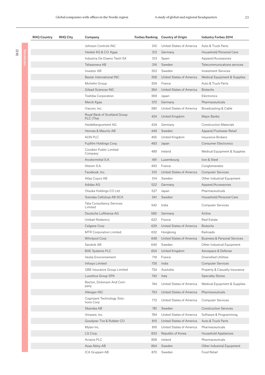(2:6)

| <b>RHQ Country</b> | <b>RHQ City</b> | Company                                     |     | Forbes Ranking Country of Origin | <b>Industry Forbes 2014</b>             |
|--------------------|-----------------|---------------------------------------------|-----|----------------------------------|-----------------------------------------|
|                    |                 | Johnson Controls INC                        | 310 | United States of America         | Auto & Truck Parts                      |
|                    |                 | Henkel AG & CO. Kgaa                        | 312 | Germany                          | Household/Personal Care                 |
|                    |                 | Industria De Diseno Textil SA               | 313 | Spain                            | Apparel/Accessories                     |
|                    |                 | Teliasonera AB                              | 316 | Sweden                           | Telecommunications services             |
|                    |                 | Investor AB                                 | 353 | Sweden                           | <b>Investment Services</b>              |
|                    |                 | Baxter International INC                    | 358 | United States of America         | Medical Equipment & Supplies            |
|                    |                 | Michelin Group                              | 359 | France                           | Auto & Truck Parts                      |
|                    |                 | Gilead Sciences INC                         | 364 | United States of America         | <b>Biotechs</b>                         |
|                    |                 | Toshiba Corporation                         | 369 | Japan                            | Electronics                             |
|                    |                 | Merck Kgaa                                  | 372 | Germany                          | Pharmaceuticals                         |
|                    |                 | Viacom, Inc.                                | 380 | United States of America         | Broadcasting & Cable                    |
|                    |                 | Royal Bank of Scotland Group<br>PLC (The)   | 424 | United Kingdom                   | Major Banks                             |
|                    |                 | Heidelbergcement AG                         | 434 | Germany                          | <b>Construction Materials</b>           |
|                    |                 | Hennes & Mauritz AB                         | 449 | Sweden                           | Apparel/Footwear Retail                 |
|                    |                 | <b>AON PLC</b>                              | 455 | United Kingdom                   | <b>Insurance Brokers</b>                |
|                    |                 | Fujifilm Holdings Corp.                     | 483 | Japan                            | <b>Consumer Electronics</b>             |
|                    |                 | Covidien Public Limited<br>Company          | 489 | Ireland                          | Medical Equipment & Supplies            |
|                    |                 | Arcelormittal S.A.                          | 491 | Luxembourg                       | Iron & Steel                            |
|                    |                 | Alstom S.A.                                 | 493 | France                           | Conglomerates                           |
|                    |                 | Facebook, Inc.                              | 510 | United States of America         | <b>Computer Services</b>                |
|                    |                 | Atlas Copco AB                              | 514 | Sweden                           | Other Industrial Equipment              |
|                    |                 | Adidas AG                                   | 522 | Germany                          | Apparel/Accessories                     |
|                    |                 | Otsuka Holdings CO Ltd                      | 527 | Japan                            | Pharmaceuticals                         |
|                    |                 | Svenska Cellulosa AB SCA                    | 541 | Sweden                           | Household/Personal Care                 |
|                    |                 | <b>Tata Consultancy Services</b><br>Limited | 542 | India                            | <b>Computer Services</b>                |
|                    |                 | Deutsche Lufthansa AG                       | 580 | Germany                          | Airline                                 |
|                    |                 | Unibail-Rodamco                             | 622 | France                           | Real Estate                             |
|                    |                 | Celgene Corp                                | 629 | United States of America         | <b>Biotechs</b>                         |
|                    |                 | <b>MTR Corporation Limited</b>              | 632 | Hongkong                         | Railroads                               |
|                    |                 | Whirlpool Corp                              | 648 | United States of America         | <b>Business &amp; Personal Services</b> |
|                    |                 | Sandvik AB                                  | 649 | Sweden                           | Other Industrial Equipment              |
|                    |                 | <b>BAE Systems PLC</b>                      | 654 | United Kingdom                   | Aerospace & Defense                     |
|                    |                 | Veolia Environnement                        | 719 | France                           | <b>Diversified Utilities</b>            |
|                    |                 | Infosys Limited                             | 726 | India                            | <b>Computer Services</b>                |
|                    |                 | QBE Insurance Group Limited                 | 734 | Australia                        | Property & Casualty Insurance           |
|                    |                 | Luxottica Group SPA                         | 742 | Italy                            | <b>Specialty Stores</b>                 |
|                    |                 | Becton, Dickinson And Com-<br>pany          | 744 | United States of America         | Medical Equipment & Supplies            |
|                    |                 | Allergan INC                                | 753 | United States of America         | Pharmaceuticals                         |
|                    |                 | Cognizant Technology Solu-<br>tions Corp    | 772 | United States of America         | <b>Computer Services</b>                |
|                    |                 | Skanska AB                                  | 781 | Sweden                           | <b>Construction Services</b>            |
|                    |                 | Vmware, Inc.                                | 784 | United States of America         | Software & Programming                  |
|                    |                 | Goodyear Tire & Rubber CO                   | 810 | United States of America         | Auto & Truck Parts                      |
|                    |                 | Mylan Inc.                                  | 816 | United States of America         | Pharmaceuticals                         |
|                    |                 | LG Corp.                                    | 833 | Republic of Korea                | Household Appliances                    |
|                    |                 | <b>Actavis PLC</b>                          | 858 | Ireland                          | Pharmaceuticals                         |
|                    |                 | Assa Abloy AB                               | 864 | Sweden                           | Other Industrial Equipment              |
|                    |                 | ICA Gruppen AB                              | 870 | Sweden                           | Food Retail                             |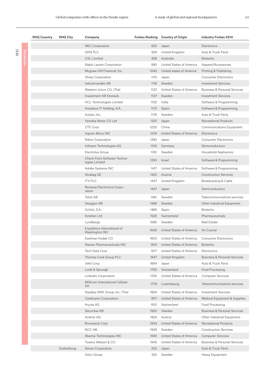| <b>RHQ Country</b> | <b>RHQ City</b> | Company                                        |      | Forbes Ranking Country of Origin | <b>Industry Forbes 2014</b>             |
|--------------------|-----------------|------------------------------------------------|------|----------------------------------|-----------------------------------------|
|                    |                 | <b>NEC Corporation</b>                         | 920  | Japan                            | Electronics                             |
|                    |                 | <b>GKN PLC</b>                                 | 926  | United Kingdom                   | Auto & Truck Parts                      |
|                    |                 | <b>CSL Limited</b>                             | 928  | Australia                        | <b>Biotechs</b>                         |
|                    |                 | Ralph Lauren Corporation                       | 990  | United States of America         | Apparel/Accessories                     |
|                    |                 | Mcgraw-Hill Financial, Inc.                    | 1040 | United states of America         | Printing & Publishing                   |
|                    |                 | Sharp Corporation                              | 1115 | Japan                            | <b>Consumer Electronics</b>             |
|                    |                 | Industrivarden AB                              | 1118 | Sweden                           | <b>Investment Services</b>              |
|                    |                 | Western Union CO. (The)                        | 1122 | United States of America         | <b>Business &amp; Personal Services</b> |
|                    |                 | Investment AB Kinnevik                         | 1137 | Sweden                           | <b>Investment Services</b>              |
|                    |                 | <b>HCL Technologies Limited</b>                | 1153 | India                            | Software & Programming                  |
|                    |                 | Amadeus IT Holding, S.A.                       | 1173 | Spain                            | Software & Programming                  |
|                    |                 | Autoliv, Inc.                                  | 1176 | Sweden                           | Auto & Truck Parts                      |
|                    |                 | Yamaha Motor CO Ltd                            | 1201 | Japan                            | Recreational Products                   |
|                    |                 | ZTE Corp.                                      | 1220 | China                            | <b>Communications Equipment</b>         |
|                    |                 | Ingram Micro INC                               | 1234 | United States of America         | Electronics                             |
|                    |                 | Nikon Corporation                              | 1283 | Japan                            | <b>Consumer Electronics</b>             |
|                    |                 | Infineon Technologies AG                       | 1316 | Germany                          | Semiconductors                          |
|                    |                 | Electrolux Group                               | 1351 | Sweden                           | Household Appliances                    |
|                    |                 | Check Point Software Techno-<br>logies Limited | 1353 | Israel                           | Software & Programming                  |
|                    |                 | Adobe Systems INC                              | 1417 | United States of America         | Software & Programming                  |
|                    |                 | Strabag SE                                     | 1425 | Austria                          | <b>Construction Services</b>            |
|                    |                 | <b>ITV PLC</b>                                 | 1447 | United Kingdom                   | Broadcasting & Cable                    |
|                    |                 | Renesas Electronics Corpo-<br>ration           | 1447 | Japan                            | Semiconductors                          |
|                    |                 | Tele2 AB                                       | 1461 | Sweden                           | Telecommunications services             |
|                    |                 | Hexagon AB                                     | 1486 | Sweden                           | Other Industrial Equipment              |
|                    |                 | Grifols, S.A.                                  | 1489 | Spain                            | <b>Biotechs</b>                         |
|                    |                 | <b>Actelion Ltd</b>                            | 1526 | Switzerland                      | Pharmaceuticals                         |
|                    |                 | Lundbergs                                      | 1566 | Sweden                           | <b>Real Estate</b>                      |
|                    |                 | Expeditors International of<br>Washington INC  | 1600 | United States of America         | Air Courier                             |
|                    |                 | Eastman Kodak CO                               | 1603 | United States of America         | <b>Consumer Electronics</b>             |
|                    |                 | Alexion Pharmaceuticals INC                    | 1610 | United States of America         | <b>Biotechs</b>                         |
|                    |                 | Tech Data Corp                                 | 1617 | United States of America         | Electronics                             |
|                    |                 | Thomas Cook Group PLC                          | 1647 | United Kingdom                   | <b>Business &amp; Personal Services</b> |
|                    |                 | Jtekt Corp.                                    | 1664 | Japan                            | Auto & Truck Parts                      |
|                    |                 | Lindt & Sprungli                               | 1700 | Switzerland                      | Food Processing                         |
|                    |                 | Linkedin Corporation                           | 1700 | United States of America         | <b>Computer Services</b>                |
|                    |                 | Millicom International Cellular<br><b>SA</b>   | 1779 | Luxembourg                       | Telecommunications services             |
|                    |                 | Nasdag OMX Group, Inc. (The)                   | 1804 | United States of America         | <b>Investment Services</b>              |
|                    |                 | Carefusion Corporation                         | 1871 | United States of America         | Medical Equipment & Supplies            |
|                    |                 | Aryzta AG                                      | 1912 | Switzerland                      | Food Processing                         |
|                    |                 | Securitas AB                                   | 1920 | Sweden                           | <b>Business &amp; Personal Services</b> |
|                    |                 | Andritz AG                                     | 1924 | Austria                          | Other Industrial Equipment              |
|                    |                 | <b>Brunswick Corp</b>                          | 1934 | United States of America         | <b>Recreational Products</b>            |
|                    |                 | NCC AB                                         | 1939 | Sweden                           | <b>Construction Services</b>            |
|                    |                 | Akamai Technologies INC                        | 1940 | United States of America         | <b>Computer Services</b>                |
|                    |                 | Towers Watson & CO.                            | 1945 | United States of America         | <b>Business &amp; Personal Services</b> |
|                    | Gothenburg      | Denso Corporation                              | 202  | Japan                            | Auto & Truck Parts                      |
|                    |                 | Volvo Group                                    | 352  | Sweden                           | Heavy Equipment                         |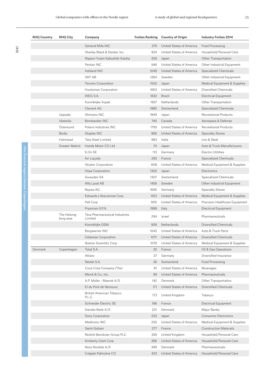| <b>RHQ Country</b> | <b>RHQ City</b>           | Company                                   |      | Forbes Ranking Country of Origin | <b>Industry Forbes 2014</b>    |
|--------------------|---------------------------|-------------------------------------------|------|----------------------------------|--------------------------------|
|                    |                           | General Mills INC                         | 379  | United States of America         | Food Processing                |
|                    |                           | Stanley Black & Decker, Inc.              | 824  | United States of America         | Household/Personal Care        |
|                    |                           | Nippon Yusen Kabushiki Kaisha             | 926  | Japan                            | Other Transportation           |
|                    |                           | Pentair INC                               | 946  | United States of America         | Other Industrial Equipment     |
|                    |                           | Ashland INC                               | 1049 | United States of America         | <b>Specialized Chemicals</b>   |
|                    |                           | <b>SKF AB</b>                             | 1264 | Sweden                           | Other Industrial Equipment     |
|                    |                           | Terumo Corporation                        | 1502 | Japan                            | Medical Equipment & Supplies   |
|                    |                           | Huntsman Corporation                      | 1663 | United States of America         | Diversified Chemicals          |
|                    |                           | WEG S.A.                                  | 1832 | <b>Brazil</b>                    | <b>Electrical Equipment</b>    |
|                    |                           | Koninklijke Vopak                         | 1957 | Netherlands                      | Other Transportation           |
|                    |                           | <b>Clariant AG</b>                        | 1980 | Switzerland                      | Specialized Chemicals          |
|                    | Uppsala                   | Shimano INC                               | 1849 | Japan                            | <b>Recreational Products</b>   |
|                    | Västerås                  | Bombardier INC                            | 740  | Canada                           | Aerospace & Defense            |
|                    | Östersund                 | Polaris Industries INC                    | 1793 | United States of America         | Recreational Products          |
|                    | Borås                     | Staples INC                               | 885  | United States of America         | <b>Specialty Stores</b>        |
|                    | Halmstad                  | Tata Steel Limited                        | 983  | India                            | Iron & Steel                   |
|                    | Greater Malmö             | Honda Motor CO Ltd                        | 70   | Japan                            | Auto & Truck Manufacturers     |
|                    |                           | E.On SE                                   | 113  | Germany                          | <b>Electric Utilities</b>      |
|                    |                           | Air Liquide                               | 293  | France                           | Specialized Chemicals          |
|                    |                           | <b>Stryker Corporation</b>                | 608  | United States of America         | Medical Equipment & Supplies   |
|                    |                           | Hoya Corporation                          | 1302 | Japan                            | Electronics                    |
|                    |                           | Givaudan SA                               | 1307 | Switzerland                      | Specialized Chemicals          |
|                    |                           | Alfa Laval AB                             | 1456 | Sweden                           | Other Industrial Equipment     |
|                    |                           | Baywa AG                                  | 1695 | Germany                          | <b>Specialty Stores</b>        |
|                    |                           | Edwards Lifesciences Corp                 | 1913 | United States of America         | Medical Equipment & Supplies   |
|                    |                           | Pall Corp                                 | 1915 | United States of America         | Precision Healthcare Equipment |
|                    |                           | Prysmian S.P.A.                           | 1988 | Italy                            | <b>Electrical Equipment</b>    |
|                    | The Helsing-<br>borg area | Teva Pharmaceutical Industries<br>Limited | 294  | Israel                           | Pharmaceuticals                |
|                    |                           | Koninklijke DSM                           | 908  | Netherlands                      | Diversified Chemicals          |
|                    |                           | Borgwarner INC                            | 1043 | United States of America         | Auto & Truck Parts             |
|                    |                           | Celanese Corporation                      | 1071 | United States of America         | Diversified Chemicals          |
|                    |                           | <b>Boston Scientific Corp</b>             | 1079 | United States of America         | Medical Equipment & Supplies   |
| Denmark            | Copenhagen                | Total S.A.                                | 25   | France                           | Oil & Gas Operations           |
|                    |                           | Allianz                                   | 27   | Germany                          | Diversified Insurance          |
|                    |                           | Nestle S.A.                               | 36   | Switzerland                      | Food Processing                |
|                    |                           | Coca-Cola Company (The)                   | 81   | United States of America         | <b>Beverages</b>               |
|                    |                           | Merck & Co., Inc.                         | 99   | United States of America         | Pharmaceuticals                |
|                    |                           | A.P. Moller - Maersk A/S                  | 142  | Denmark                          | Other Transportation           |
|                    |                           | El du Pont de Nemours                     | 171  | United States of America         | Diversified Chemicals          |
|                    |                           | <b>British American Tobacco</b><br>P.L.C. | 173  | United Kingdom                   | Tobacco                        |
|                    |                           | Schneider Electric SE                     | 196  | France                           | <b>Electrical Equipment</b>    |
|                    |                           | Danske Bank A/S                           | 231  | Denmark                          | Major Banks                    |
|                    |                           | Sony Corporation                          | 233  | Japan                            | <b>Consumer Electronics</b>    |
|                    |                           | Medtronic INC                             | 255  | United States of America         | Medical Equipment & Supplies   |
|                    |                           | Saint-Gobain                              | 277  | France                           | <b>Construction Materials</b>  |
|                    |                           | Reckitt Benckiser Group PLC               | 329  | United Kingdom                   | Household/Personal Care        |
|                    |                           | Kimberly Clark Corp                       | 366  | United States of America         | Household/Personal Care        |
|                    |                           | Novo Nordisk A/S                          | 399  | Denmark                          | Pharmaceuticals                |
|                    |                           | Colgate Palmolive CO                      | 423  | United States of America         | Household/Personal Care        |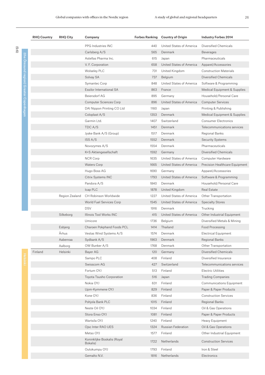|  | <b>RHQ Country</b> | <b>RHQ City</b> | Company                                 |      | Forbes Ranking Country of Origin | <b>Industry Forbes 2014</b>     |
|--|--------------------|-----------------|-----------------------------------------|------|----------------------------------|---------------------------------|
|  |                    |                 | PPG Industries INC                      | 440  | United States of America         | Diversified Chemicals           |
|  |                    |                 | Carlsberg A/S                           | 565  | Denmark                          | Beverages                       |
|  |                    |                 | Astellas Pharma Inc.                    | 615  | Japan                            | Pharmaceuticals                 |
|  |                    |                 | V. F. Corporation                       | 658  | United States of America         | Apparel/Accessories             |
|  |                    |                 | <b>Wolseley PLC</b>                     | 731  | United Kingdom                   | <b>Construction Materials</b>   |
|  |                    |                 | Solvay SA                               | 737  | Belgium                          | Diversified Chemicals           |
|  |                    |                 | Symantec Corp                           | 848  | United States of America         | Software & Programming          |
|  |                    |                 | Essilor International SA                | 863  | France                           | Medical Equipment & Supplies    |
|  |                    |                 | Beiersdorf AG                           | 895  | Germany                          | Household/Personal Care         |
|  |                    |                 | <b>Computer Sciences Corp</b>           | 896  | United States of America         | <b>Computer Services</b>        |
|  |                    |                 | DAI Nippon Printing CO Ltd              | 1160 | Japan                            | Printing & Publishing           |
|  |                    |                 | Coloplast A/S                           | 1353 | Denmark                          | Medical Equipment & Supplies    |
|  |                    |                 | Garmin Ltd.                             | 1407 | Switzerland                      | <b>Consumer Electronics</b>     |
|  |                    |                 | TDC A/S                                 | 1451 | Denmark                          | Telecommunications services     |
|  |                    |                 | Jyske Bank A/S (Group)                  | 1517 | Denmark                          | Regional Banks                  |
|  |                    |                 | ISS A/S                                 | 1552 | Denmark                          | <b>Security Systems</b>         |
|  |                    |                 | Novozymes A/S                           | 1554 | Denmark                          | Pharmaceuticals                 |
|  |                    |                 | K+S Aktiengesellschaft                  | 1592 | Germany                          | Diversified Chemicals           |
|  |                    |                 | <b>NCR Corp</b>                         | 1635 | United States of America         | Computer Hardware               |
|  |                    |                 | <b>Waters Corp</b>                      | 1665 | United States of America         | Precision Healthcare Equipment  |
|  |                    |                 | Hugo Boss AG                            | 1690 | Germany                          | Apparel/Accessories             |
|  |                    |                 | Citrix Systems INC                      | 1793 | United States of America         | Software & Programming          |
|  |                    |                 | Pandora A/S                             | 1840 | Denmark                          | Household/Personal Care         |
|  |                    |                 | Icap PLC                                | 1878 | United Kingdom                   | <b>Real Estate</b>              |
|  |                    | Region Zealand  | CH Robinson Worldwide                   | 1227 | United States of America         | Other Transportation            |
|  |                    |                 | World Fuel Services Corp                | 1545 | United States of America         | <b>Specialty Stores</b>         |
|  |                    |                 | <b>DSV</b>                              | 1916 | Denmark                          | Trucking                        |
|  |                    | Silkeborg       | Illinois Tool Works INC                 | 415  | United States of America         | Other Industrial Equipment      |
|  |                    |                 | Umicore                                 | 1736 | Belgium                          | Diversified Metals & Mining     |
|  |                    | Esbjerg         | Charoen Pokphand Foods PCL              | 1414 | Thailand                         | Food Processing                 |
|  |                    | Århus           | Vestas Wind Systems A/S                 | 1574 | Denmark                          | <b>Electrical Equipment</b>     |
|  |                    | Aabenraa        | Sydbank A/S                             | 1963 | Denmark                          | Regional Banks                  |
|  |                    | Aalborg         | OW Bunker A/S                           | 1768 | Denmark                          | Other Transportation            |
|  | Finland            | Helsinki        | Bayer AG                                | 120  | Germany                          | Diversified Chemicals           |
|  |                    |                 | Sampo PLC                               | 408  | Finland                          | Diversified Insurance           |
|  |                    |                 | Swisscom AG                             | 427  | Switzerland                      | Telecommunications services     |
|  |                    |                 | Fortum OYJ                              | 513  | Finland                          | <b>Electric Utilities</b>       |
|  |                    |                 | Toyota Tsusho Corporation               | 516  | Japan                            | <b>Trading Companies</b>        |
|  |                    |                 | Nokia OYJ                               | 631  | Finland                          | <b>Communications Equipment</b> |
|  |                    |                 | Upm-Kymmene OYJ                         | 829  | Finland                          | Paper & Paper Products          |
|  |                    |                 | Kone OYJ                                | 836  | Finland                          | <b>Construction Services</b>    |
|  |                    |                 | Pohjola Bank PLC                        | 1015 | Finland                          | Regional Banks                  |
|  |                    |                 | Neste Oil OYJ                           | 1034 | Finland                          | Oil & Gas Operations            |
|  |                    |                 | Stora Enso OYJ                          | 1081 | Finland                          | Paper & Paper Products          |
|  |                    |                 | Wartsila OYJ                            | 1240 | Finland                          | Heavy Equipment                 |
|  |                    |                 | Ojsc Inter RAO UES                      | 1324 | Russian Federation               | Oil & Gas Operations            |
|  |                    |                 | Metso OYJ                               | 1577 | Finland                          | Other Industrial Equipment      |
|  |                    |                 | Koninklijke Boskalis (Royal<br>Bokalis) | 1722 | Netherlands                      | <b>Construction Services</b>    |
|  |                    |                 | Outokumpu OYJ                           | 1793 | Finland                          | Iron & Steel                    |
|  |                    |                 | Gemalto N.V.                            | 1816 | Netherlands                      | Electronics                     |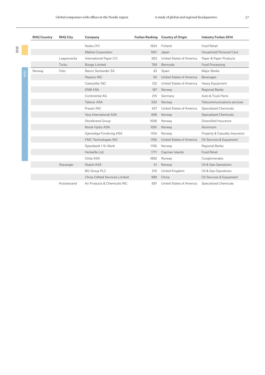|      | <b>RHQ Country</b> | <b>RHO City</b> | Company                         | <b>Forbes Ranking</b> | <b>Country of Origin</b> | <b>Industry Forbes 2014</b>   |
|------|--------------------|-----------------|---------------------------------|-----------------------|--------------------------|-------------------------------|
|      |                    |                 | Kesko OYJ                       | 1924                  | Finland                  | Food Retail                   |
|      |                    |                 | Makita Corporation              | 1951                  | Japan                    | Household/Personal Care       |
|      |                    | Laapenranta     | International Paper CO          | 363                   | United States of America | Paper & Paper Products        |
|      |                    | Turku           | <b>Bunge Limited</b>            | 759                   | Bermuda                  | Food Processing               |
| Oslo | Norway             | Oslo            | Banco Santander SA              | 43                    | Spain                    | Major Banks                   |
|      |                    |                 | Pepsico INC                     | 93                    | United States of America | Beverages                     |
|      |                    |                 | Caterpillar INC                 | 122                   | United States of America | Heavy Equipment               |
|      |                    |                 | <b>DNB ASA</b>                  | 197                   | Norway                   | Regional Banks                |
|      |                    |                 | Continental AG                  | 215                   | Germany                  | Auto & Truck Parts            |
|      |                    |                 | Telenor ASA                     | 330                   | Norway                   | Telecommunications services   |
|      |                    |                 | Praxair INC                     | 437                   | United States of America | Specialized Chemicals         |
|      |                    |                 | Yara International ASA          | 668                   | Norway                   | <b>Specialized Chemicals</b>  |
|      |                    |                 | Storebrand Group                | 1056                  | Norway                   | Diversified Insurance         |
|      |                    |                 | Norsk Hydro ASA                 | 1061                  | Norway                   | Aluminum                      |
|      |                    |                 | Gjensidige Forsikring ASA       | 1104                  | Norway                   | Property & Casualty Insurance |
|      |                    |                 | FMC Technologies INC            | 1150                  | United States of America | Oil Services & Equipment      |
|      |                    |                 | Sparebank 1 Sr-Bank             | 1745                  | Norway                   | <b>Regional Banks</b>         |
|      |                    |                 | Herbalife Ltd.                  | 1771                  | Cayman Islands           | <b>Food Retail</b>            |
|      |                    |                 | Orkla ASA                       | 1892                  | Norway                   | Conglomerates                 |
|      |                    | Stavanger       | Statoil ASA                     | 51                    | Norway                   | Oil & Gas Operations          |
|      |                    |                 | <b>BG Group PLC</b>             | 210                   | United Kingdom           | Oil & Gas Operations          |
|      |                    |                 | China Oilfield Services Limited | 989                   | China                    | Oil Services & Equipment      |
|      |                    | Kristiansand    | Air Products & Chemicals INC    | 587                   | United States of America | Specialized Chemicals         |